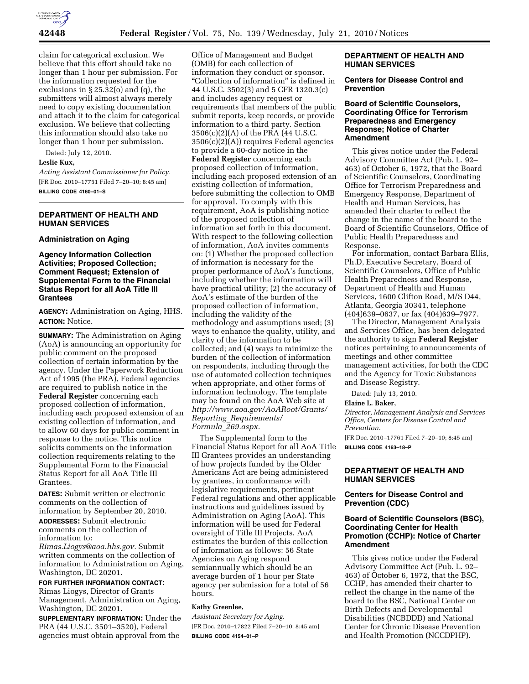

claim for categorical exclusion. We believe that this effort should take no longer than 1 hour per submission. For the information requested for the exclusions in § 25.32(o) and (q), the submitters will almost always merely need to copy existing documentation and attach it to the claim for categorical exclusion. We believe that collecting this information should also take no longer than 1 hour per submission.

Dated: July 12, 2010.

#### **Leslie Kux,**

*Acting Assistant Commissioner for Policy.*  [FR Doc. 2010–17751 Filed 7–20–10; 8:45 am] **BILLING CODE 4160–01–S** 

## **DEPARTMENT OF HEALTH AND HUMAN SERVICES**

#### **Administration on Aging**

### **Agency Information Collection Activities; Proposed Collection; Comment Request; Extension of Supplemental Form to the Financial Status Report for all AoA Title III Grantees**

**AGENCY:** Administration on Aging, HHS. **ACTION:** Notice.

**SUMMARY:** The Administration on Aging (AoA) is announcing an opportunity for public comment on the proposed collection of certain information by the agency. Under the Paperwork Reduction Act of 1995 (the PRA), Federal agencies are required to publish notice in the **Federal Register** concerning each proposed collection of information, including each proposed extension of an existing collection of information, and to allow 60 days for public comment in response to the notice. This notice solicits comments on the information collection requirements relating to the Supplemental Form to the Financial Status Report for all AoA Title III Grantees.

**DATES:** Submit written or electronic comments on the collection of information by September 20, 2010. **ADDRESSES:** Submit electronic comments on the collection of information to:

*[Rimas.Liogys@aoa.hhs.gov.](mailto:Rimas.Liogys@aoa.hhs.gov)* Submit written comments on the collection of information to Administration on Aging, Washington, DC 20201.

# **FOR FURTHER INFORMATION CONTACT:**

Rimas Liogys, Director of Grants Management, Administration on Aging, Washington, DC 20201.

**SUPPLEMENTARY INFORMATION:** Under the PRA (44 U.S.C. 3501–3520), Federal agencies must obtain approval from the

Office of Management and Budget (OMB) for each collection of information they conduct or sponsor. "Collection of information" is defined in 44 U.S.C. 3502(3) and 5 CFR 1320.3(c) and includes agency request or requirements that members of the public submit reports, keep records, or provide information to a third party. Section 3506(c)(2)(A) of the PRA (44 U.S.C. 3506(c)(2)(A)) requires Federal agencies to provide a 60-day notice in the **Federal Register** concerning each proposed collection of information, including each proposed extension of an existing collection of information, before submitting the collection to OMB for approval. To comply with this requirement, AoA is publishing notice of the proposed collection of information set forth in this document. With respect to the following collection of information, AoA invites comments on: (1) Whether the proposed collection of information is necessary for the proper performance of AoA's functions, including whether the information will have practical utility; (2) the accuracy of AoA's estimate of the burden of the proposed collection of information, including the validity of the methodology and assumptions used; (3) ways to enhance the quality, utility, and clarity of the information to be collected; and (4) ways to minimize the burden of the collection of information on respondents, including through the use of automated collection techniques when appropriate, and other forms of information technology. The template may be found on the AoA Web site at *[http://www.aoa.gov/AoARoot/Grants/](http://www.aoa.gov/AoARoot/Grants/Reporting_Requirements/Formula_269.aspx)  Reporting*\_*[Requirements/](http://www.aoa.gov/AoARoot/Grants/Reporting_Requirements/Formula_269.aspx) Formula*\_*[269.aspx.](http://www.aoa.gov/AoARoot/Grants/Reporting_Requirements/Formula_269.aspx)* 

The Supplemental form to the Financial Status Report for all AoA Title III Grantees provides an understanding of how projects funded by the Older Americans Act are being administered by grantees, in conformance with legislative requirements, pertinent Federal regulations and other applicable instructions and guidelines issued by Administration on Aging (AoA). This information will be used for Federal oversight of Title III Projects. AoA estimates the burden of this collection of information as follows: 56 State Agencies on Aging respond semiannually which should be an average burden of 1 hour per State agency per submission for a total of 56 hours.

### **Kathy Greenlee,**

*Assistant Secretary for Aging.*  [FR Doc. 2010–17822 Filed 7–20–10; 8:45 am] **BILLING CODE 4154–01–P** 

### **DEPARTMENT OF HEALTH AND HUMAN SERVICES**

#### **Centers for Disease Control and Prevention**

#### **Board of Scientific Counselors, Coordinating Office for Terrorism Preparedness and Emergency Response; Notice of Charter Amendment**

This gives notice under the Federal Advisory Committee Act (Pub. L. 92– 463) of October 6, 1972, that the Board of Scientific Counselors, Coordinating Office for Terrorism Preparedness and Emergency Response, Department of Health and Human Services, has amended their charter to reflect the change in the name of the board to the Board of Scientific Counselors, Office of Public Health Preparedness and Response.

For information, contact Barbara Ellis, Ph.D, Executive Secretary, Board of Scientific Counselors, Office of Public Health Preparedness and Response, Department of Health and Human Services, 1600 Clifton Road, M/S D44, Atlanta, Georgia 30341, telephone (404)639–0637, or fax (404)639–7977.

The Director, Management Analysis and Services Office, has been delegated the authority to sign **Federal Register**  notices pertaining to announcements of meetings and other committee management activities, for both the CDC and the Agency for Toxic Substances and Disease Registry.

Dated: July 13, 2010.

#### **Elaine L. Baker,**

*Director, Management Analysis and Services Office, Centers for Disease Control and Prevention.* 

[FR Doc. 2010–17761 Filed 7–20–10; 8:45 am] **BILLING CODE 4163–18–P** 

# **DEPARTMENT OF HEALTH AND HUMAN SERVICES**

### **Centers for Disease Control and Prevention (CDC)**

### **Board of Scientific Counselors (BSC), Coordinating Center for Health Promotion (CCHP): Notice of Charter Amendment**

This gives notice under the Federal Advisory Committee Act (Pub. L. 92– 463) of October 6, 1972, that the BSC, CCHP, has amended their charter to reflect the change in the name of the board to the BSC, National Center on Birth Defects and Developmental Disabilities (NCBDDD) and National Center for Chronic Disease Prevention and Health Promotion (NCCDPHP).